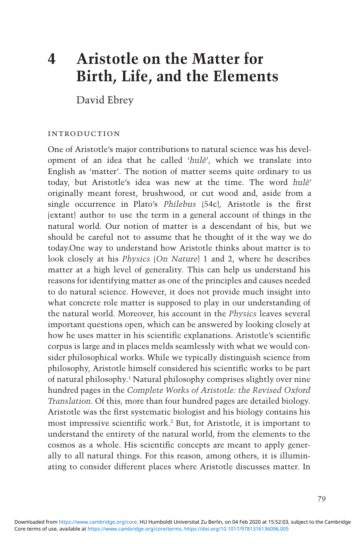# **4 Aristotle on the Matter for Birth, Life, and the Elements**

David Ebrey

#### Introduction

today.One way to understand how Aristotle thinks about matter is to look closely at his *Physics* (*On Nature*) 1 and 2, where he describes matter at a high level of generality. This can help us understand his reasons for identifying matter as one of the principles and causes needed to do natural science. However, it does not provide much insight into what concrete role matter is supposed to play in our understanding of the natural world. Moreover, his account in the *Physics* leaves several important questions open, which can be answered by looking closely at how he uses matter in his scientific explanations. Aristotle's scientific corpus is large and in places melds seamlessly with what we would consider philosophical works. While we typically distinguish science from philosophy, Aristotle himself considered his scientific works to be part of natural philosophy.1 Natural philosophy comprises slightly over nine hundred pages in the *Complete Works of Aristotle: the Revised Oxford Translation*. Of this, more than four hundred pages are detailed biology. Aristotle was the first systematic biologist and his biology contains his most impressive scientific work.2 But, for Aristotle, it is important to understand the entirety of the natural world, from the elements to the cosmos as a whole. His scientific concepts are meant to apply generally to all natural things. For this reason, among others, it is illuminating to consider different places where Aristotle discusses matter. In One of Aristotle's major contributions to natural science was his development of an idea that he called '*hulê*', which we translate into English as 'matter'. The notion of matter seems quite ordinary to us today, but Aristotle's idea was new at the time. The word *hulê*' originally meant forest, brushwood, or cut wood and, aside from a single occurrence in Plato's *Philebus* (54c), Aristotle is the first (extant) author to use the term in a general account of things in the natural world. Our notion of matter is a descendant of his, but we should be careful not to assume that he thought of it the way we do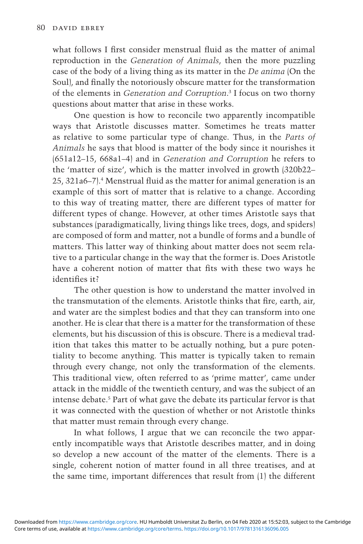what follows I first consider menstrual fluid as the matter of animal reproduction in the *Generation of Animals*, then the more puzzling case of the body of a living thing as its matter in the *De anima* (On the Soul), and finally the notoriously obscure matter for the transformation of the elements in *Generation and Corruption*. 3 I focus on two thorny questions about matter that arise in these works.

One question is how to reconcile two apparently incompatible ways that Aristotle discusses matter. Sometimes he treats matter as relative to some particular type of change. Thus, in the *Parts of Animals* he says that blood is matter of the body since it nourishes it (651a12–15, 668a1–4) and in *Generation and Corruption* he refers to the 'matter of size', which is the matter involved in growth (320b22– 25, 321a6–7).4 Menstrual fluid as the matter for animal generation is an example of this sort of matter that is relative to a change. According to this way of treating matter, there are different types of matter for different types of change. However, at other times Aristotle says that substances (paradigmatically, living things like trees, dogs, and spiders) are composed of form and matter, not a bundle of forms and a bundle of matters. This latter way of thinking about matter does not seem relative to a particular change in the way that the former is. Does Aristotle have a coherent notion of matter that fits with these two ways he identifies it?

The other question is how to understand the matter involved in the transmutation of the elements. Aristotle thinks that fire, earth, air, and water are the simplest bodies and that they can transform into one another. He is clear that there is a matter for the transformation of these elements, but his discussion of this is obscure. There is a medieval tradition that takes this matter to be actually nothing, but a pure potentiality to become anything. This matter is typically taken to remain through every change, not only the transformation of the elements. This traditional view, often referred to as 'prime matter', came under attack in the middle of the twentieth century, and was the subject of an intense debate.5 Part of what gave the debate its particular fervor is that it was connected with the question of whether or not Aristotle thinks that matter must remain through every change.

In what follows, I argue that we can reconcile the two apparently incompatible ways that Aristotle describes matter, and in doing so develop a new account of the matter of the elements. There is a single, coherent notion of matter found in all three treatises, and at the same time, important differences that result from (1) the different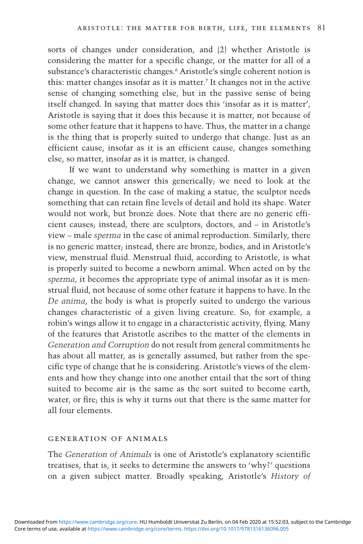sorts of changes under consideration, and (2) whether Aristotle is considering the matter for a specific change, or the matter for all of a substance's characteristic changes.6 Aristotle's single coherent notion is this: matter changes insofar as it is matter.7 It changes not in the active sense of changing something else, but in the passive sense of being itself changed. In saying that matter does this 'insofar as it is matter', Aristotle is saying that it does this because it is matter, not because of some other feature that it happens to have. Thus, the matter in a change is the thing that is properly suited to undergo that change. Just as an efficient cause, insofar as it is an efficient cause, changes something else, so matter, insofar as it is matter, is changed.

If we want to understand why something is matter in a given change, we cannot answer this generically; we need to look at the change in question. In the case of making a statue, the sculptor needs something that can retain fine levels of detail and hold its shape. Water would not work, but bronze does. Note that there are no generic efficient causes; instead, there are sculptors, doctors, and – in Aristotle's view – male *sperma* in the case of animal reproduction. Similarly, there is no generic matter; instead, there are bronze, bodies, and in Aristotle's view, menstrual fluid. Menstrual fluid, according to Aristotle, is what is properly suited to become a newborn animal. When acted on by the *sperma*, it becomes the appropriate type of animal insofar as it is menstrual fluid, not because of some other feature it happens to have. In the *De anima*, the body is what is properly suited to undergo the various changes characteristic of a given living creature. So, for example, a robin's wings allow it to engage in a characteristic activity, flying. Many of the features that Aristotle ascribes to the matter of the elements in *Generation and Corruption* do not result from general commitments he has about all matter, as is generally assumed, but rather from the specific type of change that he is considering. Aristotle's views of the elements and how they change into one another entail that the sort of thing suited to become air is the same as the sort suited to become earth, water, or fire; this is why it turns out that there is the same matter for all four elements.

### Generation of Animals

The *Generation of Animals* is one of Aristotle's explanatory scientific treatises, that is, it seeks to determine the answers to 'why?' questions on a given subject matter. Broadly speaking, Aristotle's *History of*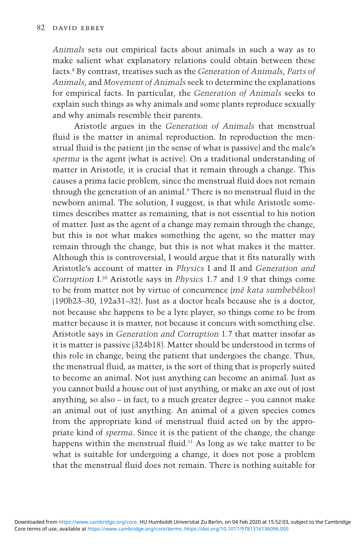*Animals* sets out empirical facts about animals in such a way as to make salient what explanatory relations could obtain between these facts.8 By contrast, treatises such as the *Generation of Animals*, *Parts of Animals*, and *Movement of Animals* seek to determine the explanations for empirical facts. In particular, the *Generation of Animals* seeks to explain such things as why animals and some plants reproduce sexually and why animals resemble their parents.

Aristotle argues in the *Generation of Animals* that menstrual fluid is the matter in animal reproduction. In reproduction the menstrual fluid is the patient (in the sense of what is passive) and the male's *sperma* is the agent (what is active). On a traditional understanding of matter in Aristotle, it is crucial that it remain through a change. This causes a prima facie problem, since the menstrual fluid does not remain through the generation of an animal.9 There is no menstrual fluid in the newborn animal. The solution, I suggest, is that while Aristotle sometimes describes matter as remaining, that is not essential to his notion of matter. Just as the agent of a change may remain through the change, but this is not what makes something the agent, so the matter may remain through the change, but this is not what makes it the matter. Although this is controversial, I would argue that it fits naturally with Aristotle's account of matter in *Physics* I and II and *Generation and Corruption* I.10 Aristotle says in *Physics* 1.7 and 1.9 that things come to be from matter not by virtue of concurrence (*mê kata sumbebêkos*) (190b23–30, 192a31–32). Just as a doctor heals because she is a doctor, not because she happens to be a lyre player, so things come to be from matter because it is matter, not because it concurs with something else. Aristotle says in *Generation and Corruption* 1.7 that matter insofar as it is matter is passive (324b18). Matter should be understood in terms of this role in change, being the patient that undergoes the change. Thus, the menstrual fluid, as matter, is the sort of thing that is properly suited to become an animal. Not just anything can become an animal. Just as you cannot build a house out of just anything, or make an axe out of just anything, so also – in fact, to a much greater degree – you cannot make an animal out of just anything. An animal of a given species comes from the appropriate kind of menstrual fluid acted on by the appropriate kind of *sperma*. Since it is the patient of the change, the change happens within the menstrual fluid.<sup>11</sup> As long as we take matter to be what is suitable for undergoing a change, it does not pose a problem that the menstrual fluid does not remain. There is nothing suitable for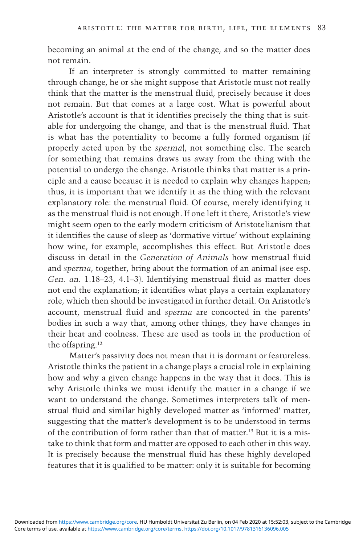becoming an animal at the end of the change, and so the matter does not remain.

If an interpreter is strongly committed to matter remaining through change, he or she might suppose that Aristotle must not really think that the matter is the menstrual fluid, precisely because it does not remain. But that comes at a large cost. What is powerful about Aristotle's account is that it identifies precisely the thing that is suitable for undergoing the change, and that is the menstrual fluid. That is what has the potentiality to become a fully formed organism (if properly acted upon by the *sperma*), not something else. The search for something that remains draws us away from the thing with the potential to undergo the change. Aristotle thinks that matter is a principle and a cause because it is needed to explain why changes happen; thus, it is important that we identify it as the thing with the relevant explanatory role: the menstrual fluid. Of course, merely identifying it as the menstrual fluid is not enough. If one left it there, Aristotle's view might seem open to the early modern criticism of Aristotelianism that it identifies the cause of sleep as 'dormative virtue' without explaining how wine, for example, accomplishes this effect. But Aristotle does discuss in detail in the *Generation of Animals* how menstrual fluid and *sperma*, together, bring about the formation of an animal (see esp. *Gen. an.* 1.18–23, 4.1–3). Identifying menstrual fluid as matter does not end the explanation; it identifies what plays a certain explanatory role, which then should be investigated in further detail. On Aristotle's account, menstrual fluid and *sperma* are concocted in the parents' bodies in such a way that, among other things, they have changes in their heat and coolness. These are used as tools in the production of the offspring.12

Matter's passivity does not mean that it is dormant or featureless. Aristotle thinks the patient in a change plays a crucial role in explaining how and why a given change happens in the way that it does. This is why Aristotle thinks we must identify the matter in a change if we want to understand the change. Sometimes interpreters talk of menstrual fluid and similar highly developed matter as 'informed' matter, suggesting that the matter's development is to be understood in terms of the contribution of form rather than that of matter.13 But it is a mistake to think that form and matter are opposed to each other in this way. It is precisely because the menstrual fluid has these highly developed features that it is qualified to be matter: only it is suitable for becoming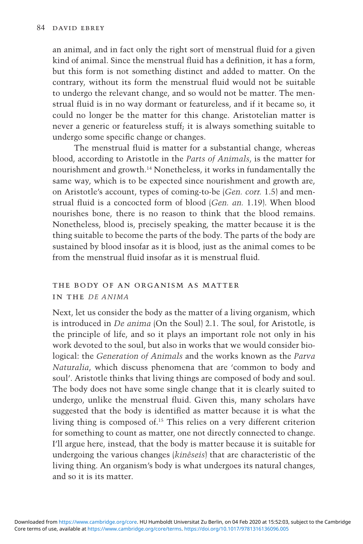an animal, and in fact only the right sort of menstrual fluid for a given kind of animal. Since the menstrual fluid has a definition, it has a form, but this form is not something distinct and added to matter. On the contrary, without its form the menstrual fluid would not be suitable to undergo the relevant change, and so would not be matter. The menstrual fluid is in no way dormant or featureless, and if it became so, it could no longer be the matter for this change. Aristotelian matter is never a generic or featureless stuff; it is always something suitable to undergo some specific change or changes.

The menstrual fluid is matter for a substantial change, whereas blood, according to Aristotle in the *Parts of Animals*, is the matter for nourishment and growth.14 Nonetheless, it works in fundamentally the same way, which is to be expected since nourishment and growth are, on Aristotle's account, types of coming-to-be (*Gen. corr.* 1.5) and menstrual fluid is a concocted form of blood (*Gen. an.* 1.19). When blood nourishes bone, there is no reason to think that the blood remains. Nonetheless, blood is, precisely speaking, the matter because it is the thing suitable to become the parts of the body. The parts of the body are sustained by blood insofar as it is blood, just as the animal comes to be from the menstrual fluid insofar as it is menstrual fluid.

## The Body of an Organism as Matter in the *DE ANIMA*

Next, let us consider the body as the matter of a living organism, which is introduced in *De anima* (On the Soul) 2.1. The soul, for Aristotle, is the principle of life, and so it plays an important role not only in his work devoted to the soul, but also in works that we would consider biological: the *Generation of Animals* and the works known as the *Parva Naturalia*, which discuss phenomena that are 'common to body and soul'. Aristotle thinks that living things are composed of body and soul. The body does not have some single change that it is clearly suited to undergo, unlike the menstrual fluid. Given this, many scholars have suggested that the body is identified as matter because it is what the living thing is composed of.15 This relies on a very different criterion for something to count as matter, one not directly connected to change. I'll argue here, instead, that the body is matter because it is suitable for undergoing the various changes (*kinêseis*) that are characteristic of the living thing. An organism's body is what undergoes its natural changes, and so it is its matter.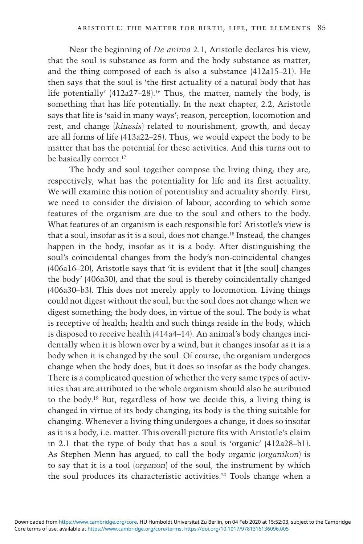Near the beginning of *De anima* 2.1, Aristotle declares his view, that the soul is substance as form and the body substance as matter, and the thing composed of each is also a substance (412a15–21). He then says that the soul is 'the first actuality of a natural body that has life potentially' (412a27–28).16 Thus, the matter, namely the body, is something that has life potentially. In the next chapter, 2.2, Aristotle says that life is 'said in many ways'; reason, perception, locomotion and rest, and change (*kinesis*) related to nourishment, growth, and decay are all forms of life (413a22–25). Thus, we would expect the body to be matter that has the potential for these activities. And this turns out to be basically correct.<sup>17</sup>

The body and soul together compose the living thing; they are, respectively, what has the potentiality for life and its first actuality. We will examine this notion of potentiality and actuality shortly. First, we need to consider the division of labour, according to which some features of the organism are due to the soul and others to the body. What features of an organism is each responsible for? Aristotle's view is that a soul, insofar as it is a soul, does not change.18 Instead, the changes happen in the body, insofar as it is a body. After distinguishing the soul's coincidental changes from the body's non-coincidental changes (406a16–20), Aristotle says that 'it is evident that it [the soul] changes the body' (406a30), and that the soul is thereby coincidentally changed (406a30–b3). This does not merely apply to locomotion. Living things could not digest without the soul, but the soul does not change when we digest something; the body does, in virtue of the soul. The body is what is receptive of health; health and such things reside in the body, which is disposed to receive health (414a4–14). An animal's body changes incidentally when it is blown over by a wind, but it changes insofar as it is a body when it is changed by the soul. Of course, the organism undergoes change when the body does, but it does so insofar as the body changes. There is a complicated question of whether the very same types of activities that are attributed to the whole organism should also be attributed to the body.19 But, regardless of how we decide this, a living thing is changed in virtue of its body changing; its body is the thing suitable for changing. Whenever a living thing undergoes a change, it does so insofar as it is a body, i.e. matter. This overall picture fits with Aristotle's claim in 2.1 that the type of body that has a soul is 'organic' (412a28–b1). As Stephen Menn has argued, to call the body organic (*organikon*) is to say that it is a tool (*organon*) of the soul, the instrument by which the soul produces its characteristic activities.<sup>20</sup> Tools change when a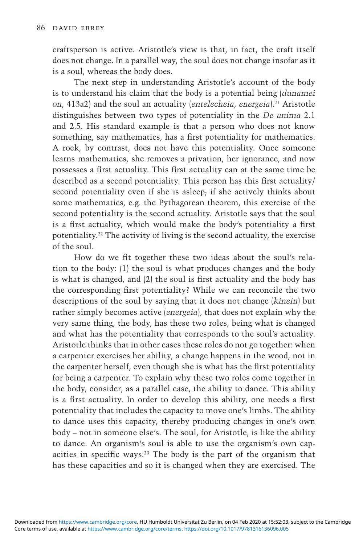craftsperson is active. Aristotle's view is that, in fact, the craft itself does not change. In a parallel way, the soul does not change insofar as it is a soul, whereas the body does.

The next step in understanding Aristotle's account of the body is to understand his claim that the body is a potential being (*dunamei on*, 413a2) and the soul an actuality (*entelecheia*, *energeia*).21 Aristotle distinguishes between two types of potentiality in the *De anima* 2.1 and 2.5. His standard example is that a person who does not know something, say mathematics, has a first potentiality for mathematics. A rock, by contrast, does not have this potentiality. Once someone learns mathematics, she removes a privation, her ignorance, and now possesses a first actuality. This first actuality can at the same time be described as a second potentiality. This person has this first actuality/ second potentiality even if she is asleep; if she actively thinks about some mathematics, e.g. the Pythagorean theorem, this exercise of the second potentiality is the second actuality. Aristotle says that the soul is a first actuality, which would make the body's potentiality a first potentiality.22 The activity of living is the second actuality, the exercise of the soul.

How do we fit together these two ideas about the soul's relation to the body: (1) the soul is what produces changes and the body is what is changed, and (2) the soul is first actuality and the body has the corresponding first potentiality? While we can reconcile the two descriptions of the soul by saying that it does not change (*kinein*) but rather simply becomes active (*energeia*), that does not explain why the very same thing, the body, has these two roles, being what is changed and what has the potentiality that corresponds to the soul's actuality. Aristotle thinks that in other cases these roles do not go together: when a carpenter exercises her ability, a change happens in the wood, not in the carpenter herself, even though she is what has the first potentiality for being a carpenter. To explain why these two roles come together in the body, consider, as a parallel case, the ability to dance. This ability is a first actuality. In order to develop this ability, one needs a first potentiality that includes the capacity to move one's limbs. The ability to dance uses this capacity, thereby producing changes in one's own body – not in someone else's. The soul, for Aristotle, is like the ability to dance. An organism's soul is able to use the organism's own capacities in specific ways.23 The body is the part of the organism that has these capacities and so it is changed when they are exercised. The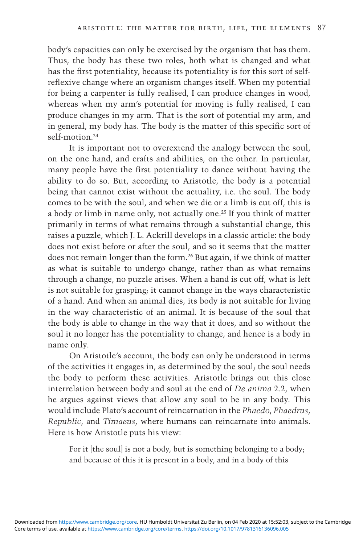body's capacities can only be exercised by the organism that has them. Thus, the body has these two roles, both what is changed and what has the first potentiality, because its potentiality is for this sort of selfreflexive change where an organism changes itself. When my potential for being a carpenter is fully realised, I can produce changes in wood, whereas when my arm's potential for moving is fully realised, I can produce changes in my arm. That is the sort of potential my arm, and in general, my body has. The body is the matter of this specific sort of self-motion<sup>24</sup>

It is important not to overextend the analogy between the soul, on the one hand, and crafts and abilities, on the other. In particular, many people have the first potentiality to dance without having the ability to do so. But, according to Aristotle, the body is a potential being that cannot exist without the actuality, i.e. the soul. The body comes to be with the soul, and when we die or a limb is cut off, this is a body or limb in name only, not actually one.25 If you think of matter primarily in terms of what remains through a substantial change, this raises a puzzle, which J. L. Ackrill develops in a classic article: the body does not exist before or after the soul, and so it seems that the matter does not remain longer than the form.26 But again, if we think of matter as what is suitable to undergo change, rather than as what remains through a change, no puzzle arises. When a hand is cut off, what is left is not suitable for grasping; it cannot change in the ways characteristic of a hand. And when an animal dies, its body is not suitable for living in the way characteristic of an animal. It is because of the soul that the body is able to change in the way that it does, and so without the soul it no longer has the potentiality to change, and hence is a body in name only.

On Aristotle's account, the body can only be understood in terms of the activities it engages in, as determined by the soul; the soul needs the body to perform these activities. Aristotle brings out this close interrelation between body and soul at the end of *De anima* 2.2, when he argues against views that allow any soul to be in any body. This would include Plato's account of reincarnation in the *Phaedo*, *Phaedrus*, *Republic*, and *Timaeus*, where humans can reincarnate into animals. Here is how Aristotle puts his view:

For it [the soul] is not a body, but is something belonging to a body; and because of this it is present in a body, and in a body of this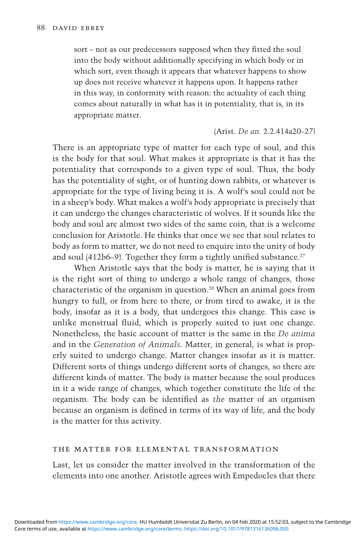sort – not as our predecessors supposed when they fitted the soul into the body without additionally specifying in which body or in which sort, even though it appears that whatever happens to show up does not receive whatever it happens upon. It happens rather in this way, in conformity with reason: the actuality of each thing comes about naturally in what has it in potentiality, that is, in its appropriate matter.

#### (Arist. *De an.* 2.2.414a20–27)

There is an appropriate type of matter for each type of soul, and this is the body for that soul. What makes it appropriate is that it has the potentiality that corresponds to a given type of soul. Thus, the body has the potentiality of sight, or of hunting down rabbits, or whatever is appropriate for the type of living being it is. A wolf's soul could not be in a sheep's body. What makes a wolf's body appropriate is precisely that it can undergo the changes characteristic of wolves. If it sounds like the body and soul are almost two sides of the same coin, that is a welcome conclusion for Aristotle. He thinks that once we see that soul relates to body as form to matter, we do not need to enquire into the unity of body and soul  $(412b6-9)$ . Together they form a tightly unified substance.<sup>27</sup>

When Aristotle says that the body is matter, he is saying that it is the right sort of thing to undergo a whole range of changes, those characteristic of the organism in question.28 When an animal goes from hungry to full, or from here to there, or from tired to awake, it is the body, insofar as it is a body, that undergoes this change. This case is unlike menstrual fluid, which is properly suited to just one change. Nonetheless, the basic account of matter is the same in the *De anima* and in the *Generation of Animals*. Matter, in general, is what is properly suited to undergo change. Matter changes insofar as it is matter. Different sorts of things undergo different sorts of changes, so there are different kinds of matter. The body is matter because the soul produces in it a wide range of changes, which together constitute the life of the organism. The body can be identified as *the* matter of an organism because an organism is defined in terms of its way of life, and the body is the matter for this activity.

#### The Matter for Elemental Transformation

Last, let us consider the matter involved in the transformation of the elements into one another. Aristotle agrees with Empedocles that there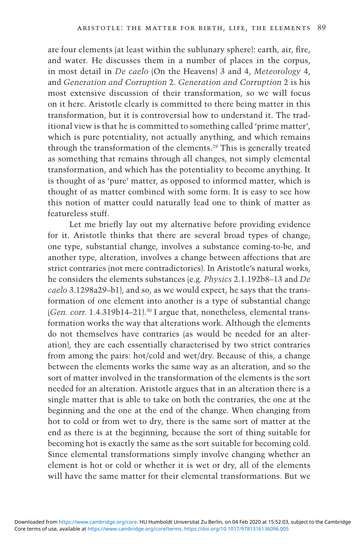are four elements (at least within the sublunary sphere): earth, air, fire, and water. He discusses them in a number of places in the corpus, in most detail in *De caelo* (On the Heavens) 3 and 4, *Meteorology* 4, and *Generation and Corruption* 2. *Generation and Corruption* 2 is his most extensive discussion of their transformation, so we will focus on it here. Aristotle clearly is committed to there being matter in this transformation, but it is controversial how to understand it. The traditional view is that he is committed to something called 'prime matter', which is pure potentiality, not actually anything, and which remains through the transformation of the elements.29 This is generally treated as something that remains through all changes, not simply elemental transformation, and which has the potentiality to become anything. It is thought of as 'pure' matter, as opposed to informed matter, which is thought of as matter combined with some form. It is easy to see how this notion of matter could naturally lead one to think of matter as featureless stuff.

Let me briefly lay out my alternative before providing evidence for it. Aristotle thinks that there are several broad types of change; one type, substantial change, involves a substance coming-to-be, and another type, alteration, involves a change between affections that are strict contraries (not mere contradictories). In Aristotle's natural works, he considers the elements substances (e.g. *Physics* 2.1.192b8–13 and *De caelo* 3.1298a29–b1), and so, as we would expect, he says that the transformation of one element into another is a type of substantial change (*Gen. corr.* 1.4.319b14–21).30 I argue that, nonetheless, elemental transformation works the way that alterations work. Although the elements do not themselves have contraries (as would be needed for an alteration), they are each essentially characterised by two strict contraries from among the pairs: hot/cold and wet/dry. Because of this, a change between the elements works the same way as an alteration, and so the sort of matter involved in the transformation of the elements is the sort needed for an alteration. Aristotle argues that in an alteration there is a single matter that is able to take on both the contraries, the one at the beginning and the one at the end of the change. When changing from hot to cold or from wet to dry, there is the same sort of matter at the end as there is at the beginning, because the sort of thing suitable for becoming hot is exactly the same as the sort suitable for becoming cold. Since elemental transformations simply involve changing whether an element is hot or cold or whether it is wet or dry, all of the elements will have the same matter for their elemental transformations. But we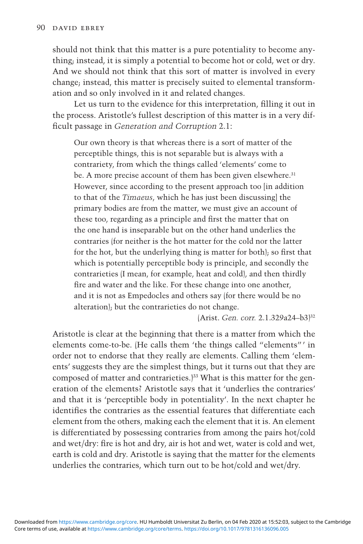should not think that this matter is a pure potentiality to become anything; instead, it is simply a potential to become hot or cold, wet or dry. And we should not think that this sort of matter is involved in every change; instead, this matter is precisely suited to elemental transformation and so only involved in it and related changes.

Let us turn to the evidence for this interpretation, filling it out in the process. Aristotle's fullest description of this matter is in a very difficult passage in *Generation and Corruption* 2.1:

Our own theory is that whereas there is a sort of matter of the perceptible things, this is not separable but is always with a contrariety, from which the things called 'elements' come to be. A more precise account of them has been given elsewhere.<sup>31</sup> However, since according to the present approach too [in addition to that of the *Timaeus*, which he has just been discussing] the primary bodies are from the matter, we must give an account of these too, regarding as a principle and first the matter that on the one hand is inseparable but on the other hand underlies the contraries (for neither is the hot matter for the cold nor the latter for the hot, but the underlying thing is matter for both); so first that which is potentially perceptible body is principle, and secondly the contrarieties (I mean, for example, heat and cold), and then thirdly fire and water and the like. For these change into one another, and it is not as Empedocles and others say (for there would be no alteration); but the contrarieties do not change.

(Arist. *Gen. corr.* 2.1.329a24–b3)32

Aristotle is clear at the beginning that there is a matter from which the elements come-to-be. (He calls them 'the things called "elements"' in order not to endorse that they really are elements. Calling them 'elements' suggests they are the simplest things, but it turns out that they are composed of matter and contrarieties.<sup>[33</sup> What is this matter for the generation of the elements? Aristotle says that it 'underlies the contraries' and that it is 'perceptible body in potentiality'. In the next chapter he identifies the contraries as the essential features that differentiate each element from the others, making each the element that it is. An element is differentiated by possessing contraries from among the pairs hot/cold and wet/dry: fire is hot and dry, air is hot and wet, water is cold and wet, earth is cold and dry. Aristotle is saying that the matter for the elements underlies the contraries, which turn out to be hot/cold and wet/dry.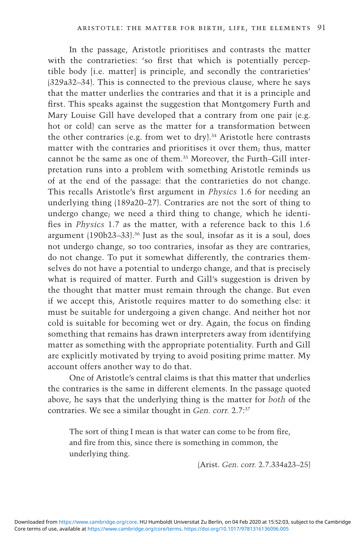In the passage, Aristotle prioritises and contrasts the matter with the contrarieties: 'so first that which is potentially perceptible body [i.e. matter] is principle, and secondly the contrarieties' (329a32–34). This is connected to the previous clause, where he says that the matter underlies the contraries and that it is a principle and first. This speaks against the suggestion that Montgomery Furth and Mary Louise Gill have developed that a contrary from one pair (e.g. hot or cold) can serve as the matter for a transformation between the other contraries (e.g. from wet to dry).<sup>34</sup> Aristotle here contrasts matter with the contraries and prioritises it over them; thus, matter cannot be the same as one of them.35 Moreover, the Furth–Gill interpretation runs into a problem with something Aristotle reminds us of at the end of the passage: that the contrarieties do not change. This recalls Aristotle's first argument in *Physics* 1.6 for needing an underlying thing (189a20–27). Contraries are not the sort of thing to undergo change; we need a third thing to change, which he identifies in *Physics* 1.7 as the matter, with a reference back to this 1.6 argument (190b23–33).36 Just as the soul, insofar as it is a soul, does not undergo change, so too contraries, insofar as they are contraries, do not change. To put it somewhat differently, the contraries themselves do not have a potential to undergo change, and that is precisely what is required of matter. Furth and Gill's suggestion is driven by the thought that matter must remain through the change. But even if we accept this, Aristotle requires matter to do something else: it must be suitable for undergoing a given change. And neither hot nor cold is suitable for becoming wet or dry. Again, the focus on finding something that remains has drawn interpreters away from identifying matter as something with the appropriate potentiality. Furth and Gill are explicitly motivated by trying to avoid positing prime matter. My account offers another way to do that.

One of Aristotle's central claims is that this matter that underlies the contraries is the same in different elements. In the passage quoted above, he says that the underlying thing is the matter for *both* of the contraries. We see a similar thought in *Gen. corr.* 2.7:37

The sort of thing I mean is that water can come to be from fire, and fire from this, since there is something in common, the underlying thing.

(Arist. *Gen. corr.* 2.7.334a23–25)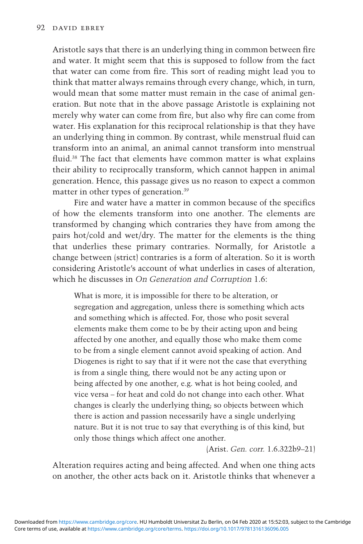Aristotle says that there is an underlying thing in common between fire and water. It might seem that this is supposed to follow from the fact that water can come from fire. This sort of reading might lead you to think that matter always remains through every change, which, in turn, would mean that some matter must remain in the case of animal generation. But note that in the above passage Aristotle is explaining not merely why water can come from fire, but also why fire can come from water. His explanation for this reciprocal relationship is that they have an underlying thing in common. By contrast, while menstrual fluid can transform into an animal, an animal cannot transform into menstrual fluid.38 The fact that elements have common matter is what explains their ability to reciprocally transform, which cannot happen in animal generation. Hence, this passage gives us no reason to expect a common matter in other types of generation.39

Fire and water have a matter in common because of the specifics of how the elements transform into one another. The elements are transformed by changing which contraries they have from among the pairs hot/cold and wet/dry. The matter for the elements is the thing that underlies these primary contraries. Normally, for Aristotle a change between (strict) contraries is a form of alteration. So it is worth considering Aristotle's account of what underlies in cases of alteration, which he discusses in *On Generation and Corruption* 1.6:

What is more, it is impossible for there to be alteration, or segregation and aggregation, unless there is something which acts and something which is affected. For, those who posit several elements make them come to be by their acting upon and being affected by one another, and equally those who make them come to be from a single element cannot avoid speaking of action. And Diogenes is right to say that if it were not the case that everything is from a single thing, there would not be any acting upon or being affected by one another, e.g. what is hot being cooled, and vice versa – for heat and cold do not change into each other. What changes is clearly the underlying thing; so objects between which there is action and passion necessarily have a single underlying nature. But it is not true to say that everything is of this kind, but only those things which affect one another.

(Arist. *Gen. corr.* 1.6.322b9–21)

Alteration requires acting and being affected. And when one thing acts on another, the other acts back on it. Aristotle thinks that whenever a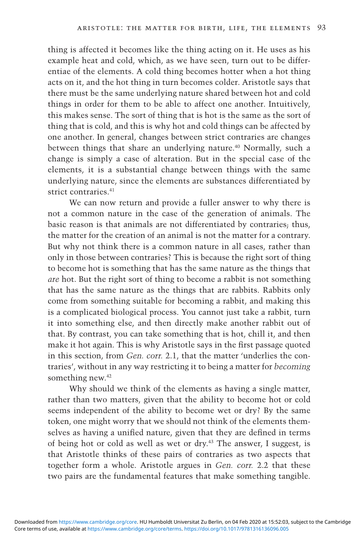thing is affected it becomes like the thing acting on it. He uses as his example heat and cold, which, as we have seen, turn out to be differentiae of the elements. A cold thing becomes hotter when a hot thing acts on it, and the hot thing in turn becomes colder. Aristotle says that there must be the same underlying nature shared between hot and cold things in order for them to be able to affect one another. Intuitively, this makes sense. The sort of thing that is hot is the same as the sort of thing that is cold, and this is why hot and cold things can be affected by one another. In general, changes between strict contraries are changes between things that share an underlying nature.<sup>40</sup> Normally, such a change is simply a case of alteration. But in the special case of the elements, it is a substantial change between things with the same underlying nature, since the elements are substances differentiated by strict contraries.<sup>41</sup>

We can now return and provide a fuller answer to why there is not a common nature in the case of the generation of animals. The basic reason is that animals are not differentiated by contraries; thus, the matter for the creation of an animal is not the matter for a contrary. But why not think there is a common nature in all cases, rather than only in those between contraries? This is because the right sort of thing to become hot is something that has the same nature as the things that *are* hot. But the right sort of thing to become a rabbit is not something that has the same nature as the things that are rabbits. Rabbits only come from something suitable for becoming a rabbit, and making this is a complicated biological process. You cannot just take a rabbit, turn it into something else, and then directly make another rabbit out of that. By contrast, you can take something that is hot, chill it, and then make it hot again. This is why Aristotle says in the first passage quoted in this section, from *Gen. corr.* 2.1, that the matter 'underlies the contraries', without in any way restricting it to being a matter for *becoming* something new.42

Why should we think of the elements as having a single matter, rather than two matters, given that the ability to become hot or cold seems independent of the ability to become wet or dry? By the same token, one might worry that we should not think of the elements themselves as having a unified nature, given that they are defined in terms of being hot or cold as well as wet or dry.43 The answer, I suggest, is that Aristotle thinks of these pairs of contraries as two aspects that together form a whole. Aristotle argues in *Gen. corr.* 2.2 that these two pairs are the fundamental features that make something tangible.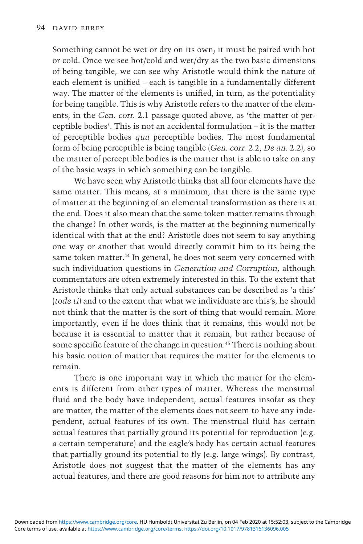Something cannot be wet or dry on its own; it must be paired with hot or cold. Once we see hot/cold and wet/dry as the two basic dimensions of being tangible, we can see why Aristotle would think the nature of each element is unified – each is tangible in a fundamentally different way. The matter of the elements is unified, in turn, as the potentiality for being tangible. This is why Aristotle refers to the matter of the elements, in the *Gen. corr.* 2.1 passage quoted above, as 'the matter of perceptible bodies'. This is not an accidental formulation – it is the matter of perceptible bodies *qua* perceptible bodies. The most fundamental form of being perceptible is being tangible (*Gen. corr.* 2.2, *De an.* 2.2), so the matter of perceptible bodies is the matter that is able to take on any of the basic ways in which something can be tangible.

We have seen why Aristotle thinks that all four elements have the same matter. This means, at a minimum, that there is the same type of matter at the beginning of an elemental transformation as there is at the end. Does it also mean that the same token matter remains through the change? In other words, is the matter at the beginning numerically identical with that at the end? Aristotle does not seem to say anything one way or another that would directly commit him to its being the same token matter.<sup>44</sup> In general, he does not seem very concerned with such individuation questions in *Generation and Corruption*, although commentators are often extremely interested in this. To the extent that Aristotle thinks that only actual substances can be described as 'a this' (*tode ti*) and to the extent that what we individuate are this's, he should not think that the matter is the sort of thing that would remain. More importantly, even if he does think that it remains, this would not be because it is essential to matter that it remain, but rather because of some specific feature of the change in question.<sup>45</sup> There is nothing about his basic notion of matter that requires the matter for the elements to remain.

There is one important way in which the matter for the elements is different from other types of matter. Whereas the menstrual fluid and the body have independent, actual features insofar as they are matter, the matter of the elements does not seem to have any independent, actual features of its own. The menstrual fluid has certain actual features that partially ground its potential for reproduction (e.g. a certain temperature) and the eagle's body has certain actual features that partially ground its potential to fly (e.g. large wings). By contrast, Aristotle does not suggest that the matter of the elements has any actual features, and there are good reasons for him not to attribute any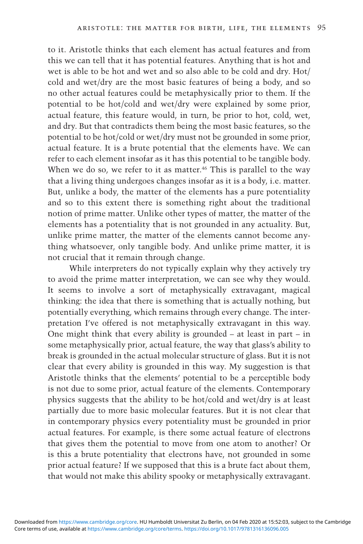to it. Aristotle thinks that each element has actual features and from this we can tell that it has potential features. Anything that is hot and wet is able to be hot and wet and so also able to be cold and dry. Hot/ cold and wet/dry are the most basic features of being a body, and so no other actual features could be metaphysically prior to them. If the potential to be hot/cold and wet/dry were explained by some prior, actual feature, this feature would, in turn, be prior to hot, cold, wet, and dry. But that contradicts them being the most basic features, so the potential to be hot/cold or wet/dry must not be grounded in some prior, actual feature. It is a brute potential that the elements have. We can refer to each element insofar as it has this potential to be tangible body. When we do so, we refer to it as matter.<sup>46</sup> This is parallel to the way that a living thing undergoes changes insofar as it is a body, i.e. matter. But, unlike a body, the matter of the elements has a pure potentiality and so to this extent there is something right about the traditional notion of prime matter. Unlike other types of matter, the matter of the elements has a potentiality that is not grounded in any actuality. But, unlike prime matter, the matter of the elements cannot become anything whatsoever, only tangible body. And unlike prime matter, it is not crucial that it remain through change.

While interpreters do not typically explain why they actively try to avoid the prime matter interpretation, we can see why they would. It seems to involve a sort of metaphysically extravagant, magical thinking: the idea that there is something that is actually nothing, but potentially everything, which remains through every change. The interpretation I've offered is not metaphysically extravagant in this way. One might think that every ability is grounded – at least in part – in some metaphysically prior, actual feature, the way that glass's ability to break is grounded in the actual molecular structure of glass. But it is not clear that every ability is grounded in this way. My suggestion is that Aristotle thinks that the elements' potential to be a perceptible body is not due to some prior, actual feature of the elements. Contemporary physics suggests that the ability to be hot/cold and wet/dry is at least partially due to more basic molecular features. But it is not clear that in contemporary physics every potentiality must be grounded in prior actual features. For example, is there some actual feature of electrons that gives them the potential to move from one atom to another? Or is this a brute potentiality that electrons have, not grounded in some prior actual feature? If we supposed that this is a brute fact about them, that would not make this ability spooky or metaphysically extravagant.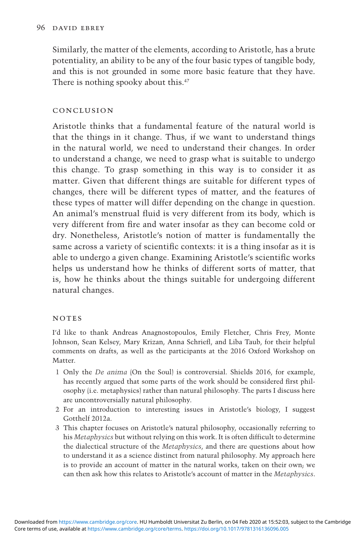Similarly, the matter of the elements, according to Aristotle, has a brute potentiality, an ability to be any of the four basic types of tangible body, and this is not grounded in some more basic feature that they have. There is nothing spooky about this.<sup>47</sup>

### Conclusion

Aristotle thinks that a fundamental feature of the natural world is that the things in it change. Thus, if we want to understand things in the natural world, we need to understand their changes. In order to understand a change, we need to grasp what is suitable to undergo this change. To grasp something in this way is to consider it as matter. Given that different things are suitable for different types of changes, there will be different types of matter, and the features of these types of matter will differ depending on the change in question. An animal's menstrual fluid is very different from its body, which is very different from fire and water insofar as they can become cold or dry. Nonetheless, Aristotle's notion of matter is fundamentally the same across a variety of scientific contexts: it is a thing insofar as it is able to undergo a given change. Examining Aristotle's scientific works helps us understand how he thinks of different sorts of matter, that is, how he thinks about the things suitable for undergoing different natural changes.

#### **NOTES**

I'd like to thank Andreas Anagnostopoulos, Emily Fletcher, Chris Frey, Monte Johnson, Sean Kelsey, Mary Krizan, Anna Schriefl, and Liba Taub, for their helpful comments on drafts, as well as the participants at the 2016 Oxford Workshop on Matter.

- 1 Only the *De anima* (On the Soul) is controversial. Shields 2016, for example, has recently argued that some parts of the work should be considered first philosophy (i.e. metaphysics) rather than natural philosophy. The parts I discuss here are uncontroversially natural philosophy.
- 2 For an introduction to interesting issues in Aristotle's biology, I suggest Gotthelf 2012a.
- 3 This chapter focuses on Aristotle's natural philosophy, occasionally referring to his *Metaphysics* but without relying on this work. It is often difficult to determine the dialectical structure of the *Metaphysics*, and there are questions about how to understand it as a science distinct from natural philosophy. My approach here is to provide an account of matter in the natural works, taken on their own; we can then ask how this relates to Aristotle's account of matter in the *Metaphysics*.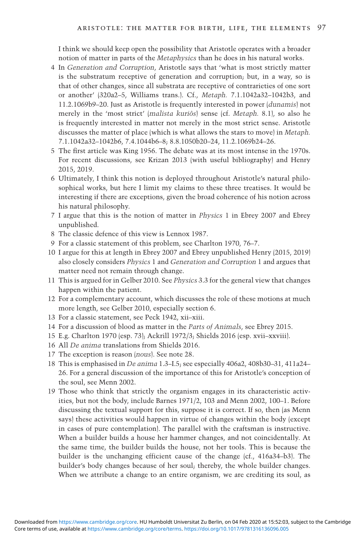I think we should keep open the possibility that Aristotle operates with a broader notion of matter in parts of the *Metaphysics* than he does in his natural works.

- 4 In *Generation and Corruption*, Aristotle says that 'what is most strictly matter is the substratum receptive of generation and corruption; but, in a way, so is that of other changes, since all substrata are receptive of contrarieties of one sort or another' (320a2–5, Williams trans.). Cf., *Metaph.* 7.1.1042a32–1042b3, and 11.2.1069b9–20. Just as Aristotle is frequently interested in power (*dunamis*) not merely in the 'most strict' (*malista kuriôs*) sense (cf. *Metaph.* 8.1), so also he is frequently interested in matter not merely in the most strict sense. Aristotle discusses the matter of place (which is what allows the stars to move) in *Metaph.* 7.1.1042a32–1042b6, 7.4.1044b6–8; 8.8.1050b20–24, 11.2.1069b24–26.
- 5 The first article was King 1956. The debate was at its most intense in the 1970s. For recent discussions, see Krizan 2013 (with useful bibliography) and Henry 2015, 2019.
- 6 Ultimately, I think this notion is deployed throughout Aristotle's natural philosophical works, but here I limit my claims to these three treatises. It would be interesting if there are exceptions, given the broad coherence of his notion across his natural philosophy.
- 7 I argue that this is the notion of matter in *Physics* 1 in Ebrey 2007 and Ebrey unpublished.
- 8 The classic defence of this view is Lennox 1987.
- 9 For a classic statement of this problem, see Charlton 1970, 76–7.
- 10 I argue for this at length in Ebrey 2007 and Ebrey unpublished Henry (2015, 2019) also closely considers *Physics* 1 and *Generation and Corruption* 1 and argues that matter need not remain through change.
- 11 This is argued for in Gelber 2010. See *Physics* 3.3 for the general view that changes happen within the patient.
- 12 For a complementary account, which discusses the role of these motions at much more length, see Gelber 2010, especially section 6.
- 13 For a classic statement, see Peck 1942, xii–xiii.
- 14 For a discussion of blood as matter in the *Parts of Animals*, see Ebrey 2015.
- 15 E.g. Charlton 1970 (esp. 73); Ackrill 1972/3; Shields 2016 (esp. xvii–xxviii).
- 16 All *De anima* translations from Shields 2016.
- 17 The exception is reason (*nous*). See note 28.
- 18 This is emphasised in *De anima* 1.3–I.5; see especially 406a2, 408b30–31, 411a24– 26. For a general discussion of the importance of this for Aristotle's conception of the soul, see Menn 2002.
- 19 Those who think that strictly the organism engages in its characteristic activities, but not the body, include Barnes 1971/2, 103 and Menn 2002, 100–1. Before discussing the textual support for this, suppose it is correct. If so, then (as Menn says) these activities would happen in virtue of changes within the body (except in cases of pure contemplation). The parallel with the craftsman is instructive. When a builder builds a house her hammer changes, and not coincidentally. At the same time, the builder builds the house, not her tools. This is because the builder is the unchanging efficient cause of the change (cf., 416a34–b3). The builder's body changes because of her soul; thereby, the whole builder changes. When we attribute a change to an entire organism, we are crediting its soul, as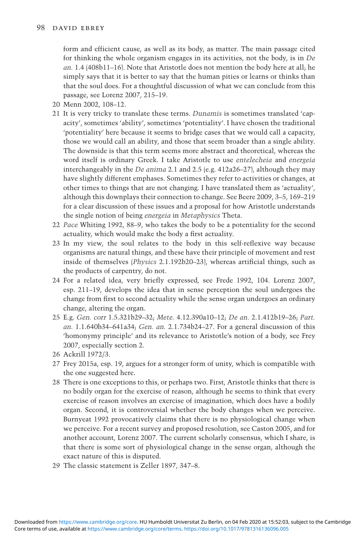form and efficient cause, as well as its body, as matter. The main passage cited for thinking the whole organism engages in its activities, not the body, is in *De an.* 1.4 (408b11–16). Note that Aristotle does not mention the body here at all; he simply says that it is better to say that the human pities or learns or thinks than that the soul does. For a thoughtful discussion of what we can conclude from this passage, see Lorenz 2007, 215–19.

- 20 Menn 2002, 108–12.
- 21 It is very tricky to translate these terms. *Dunamis* is sometimes translated 'capacity', sometimes 'ability', sometimes 'potentiality'. I have chosen the traditional 'potentiality' here because it seems to bridge cases that we would call a capacity, those we would call an ability, and those that seem broader than a single ability. The downside is that this term seems more abstract and theoretical, whereas the word itself is ordinary Greek. I take Aristotle to use *entelecheia* and *energeia* interchangeably in the *De anima* 2.1 and 2.5 (e.g. 412a26–27), although they may have slightly different emphases. Sometimes they refer to activities or changes, at other times to things that are not changing. I have translated them as 'actuality', although this downplays their connection to change. See Beere 2009, 3–5, 169–219 for a clear discussion of these issues and a proposal for how Aristotle understands the single notion of being *energeia* in *Metaphysics* Theta.
- 22 *Pace* Whiting 1992, 88–9, who takes the body to be a potentiality for the second actuality, which would make the body a first actuality.
- 23 In my view, the soul relates to the body in this self-reflexive way because organisms are natural things, and these have their principle of movement and rest inside of themselves (*Physics* 2.1.192b20–23), whereas artificial things, such as the products of carpentry, do not.
- 24 For a related idea, very briefly expressed, see Frede 1992, 104. Lorenz 2007, esp. 211–19, develops the idea that in sense perception the soul undergoes the change from first to second actuality while the sense organ undergoes an ordinary change, altering the organ.
- 25 E.g. *Gen. corr* 1.5.321b29–32; *Mete.* 4.12.390a10–12; *De an.* 2.1.412b19–26; *Part. an.* 1.1.640b34–641a34; *Gen. an.* 2.1.734b24–27. For a general discussion of this 'homonymy principle' and its relevance to Aristotle's notion of a body, see Frey 2007, especially section 2.
- 26 Ackrill 1972/3.
- 27 Frey 2015a, esp. 19, argues for a stronger form of unity, which is compatible with the one suggested here.
- 28 There is one exceptions to this, or perhaps two. First, Aristotle thinks that there is no bodily organ for the exercise of reason, although he seems to think that every exercise of reason involves an exercise of imagination, which does have a bodily organ. Second, it is controversial whether the body changes when we perceive. Burnyeat 1992 provocatively claims that there is no physiological change when we perceive. For a recent survey and proposed resolution, see Caston 2005, and for another account, Lorenz 2007. The current scholarly consensus, which I share, is that there is some sort of physiological change in the sense organ, although the exact nature of this is disputed.
- 29 The classic statement is Zeller 1897, 347–8.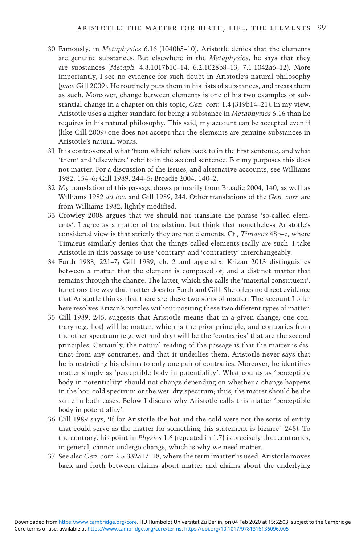- 30 Famously, in *Metaphysics* 6.16 (1040b5–10), Aristotle denies that the elements are genuine substances. But elsewhere in the *Metaphysics*, he says that they are substances (*Metaph*. 4.8.1017b10–14, 6.2.1028b8–13, 7.1.1042a6–12). More importantly, I see no evidence for such doubt in Aristotle's natural philosophy (*pace* Gill 2009). He routinely puts them in his lists of substances, and treats them as such. Moreover, change between elements is one of his two examples of substantial change in a chapter on this topic, *Gen. corr.* 1.4 (319b14–21). In my view, Aristotle uses a higher standard for being a substance in *Metaphysics* 6.16 than he requires in his natural philosophy. This said, my account can be accepted even if (like Gill 2009) one does not accept that the elements are genuine substances in Aristotle's natural works.
- 31 It is controversial what 'from which' refers back to in the first sentence, and what 'them' and 'elsewhere' refer to in the second sentence. For my purposes this does not matter. For a discussion of the issues, and alternative accounts, see Williams 1982, 154–6; Gill 1989, 244–5; Broadie 2004, 140–2.
- 32 My translation of this passage draws primarily from Broadie 2004, 140, as well as Williams 1982 *ad loc.* and Gill 1989, 244. Other translations of the *Gen. corr.* are from Williams 1982, lightly modified.
- 33 Crowley 2008 argues that we should not translate the phrase 'so-called elements'. I agree as a matter of translation, but think that nonetheless Aristotle's considered view is that strictly they are not elements. Cf., *Timaeus* 48b–c, where Timaeus similarly denies that the things called elements really are such. I take Aristotle in this passage to use 'contrary' and 'contrariety' interchangeably.
- 34 Furth 1988, 221–7; Gill 1989, ch. 2 and appendix. Krizan 2013 distinguishes between a matter that the element is composed of, and a distinct matter that remains through the change. The latter, which she calls the 'material constituent', functions the way that matter does for Furth and Gill. She offers no direct evidence that Aristotle thinks that there are these two sorts of matter. The account I offer here resolves Krizan's puzzles without positing these two different types of matter.
- 35 Gill 1989, 245, suggests that Aristotle means that in a given change, one contrary (e.g. hot) will be matter, which is the prior principle, and contraries from the other spectrum (e.g. wet and dry) will be the 'contraries' that are the second principles. Certainly, the natural reading of the passage is that the matter is distinct from any contraries, and that it underlies them. Aristotle never says that he is restricting his claims to only one pair of contraries. Moreover, he identifies matter simply as 'perceptible body in potentiality'. What counts as 'perceptible body in potentiality' should not change depending on whether a change happens in the hot–cold spectrum or the wet–dry spectrum; thus, the matter should be the same in both cases. Below I discuss why Aristotle calls this matter 'perceptible body in potentiality'.
- 36 Gill 1989 says, 'If for Aristotle the hot and the cold were not the sorts of entity that could serve as the matter for something, his statement is bizarre' (245). To the contrary, his point in *Physics* 1.6 (repeated in 1.7) is precisely that contraries, in general, cannot undergo change, which is why we need matter.
- 37 See also *Gen. corr.* 2.5.332a17–18, where the term 'matter' is used. Aristotle moves back and forth between claims about matter and claims about the underlying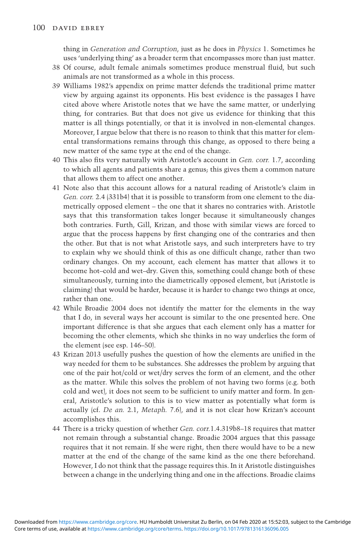thing in *Generation and Corruption*, just as he does in *Physics* 1. Sometimes he uses 'underlying thing' as a broader term that encompasses more than just matter.

- 38 Of course, adult female animals sometimes produce menstrual fluid, but such animals are not transformed as a whole in this process.
- 39 Williams 1982's appendix on prime matter defends the traditional prime matter view by arguing against its opponents. His best evidence is the passages I have cited above where Aristotle notes that we have the same matter, or underlying thing, for contraries. But that does not give us evidence for thinking that this matter is all things potentially, or that it is involved in non-elemental changes. Moreover, I argue below that there is no reason to think that this matter for elemental transformations remains through this change, as opposed to there being a new matter of the same type at the end of the change.
- 40 This also fits very naturally with Aristotle's account in *Gen. corr.* 1.7, according to which all agents and patients share a genus; this gives them a common nature that allows them to affect one another.
- 41 Note also that this account allows for a natural reading of Aristotle's claim in *Gen. corr.* 2.4 (331b4) that it is possible to transform from one element to the diametrically opposed element – the one that it shares no contraries with. Aristotle says that this transformation takes longer because it simultaneously changes both contraries. Furth, Gill, Krizan, and those with similar views are forced to argue that the process happens by first changing one of the contraries and then the other. But that is not what Aristotle says, and such interpreters have to try to explain why we should think of this as one difficult change, rather than two ordinary changes. On my account, each element has matter that allows it to become hot–cold and wet–dry. Given this, something could change both of these simultaneously, turning into the diametrically opposed element, but (Aristotle is claiming) that would be harder, because it is harder to change two things at once, rather than one.
- 42 While Broadie 2004 does not identify the matter for the elements in the way that I do, in several ways her account is similar to the one presented here. One important difference is that she argues that each element only has a matter for becoming the other elements, which she thinks in no way underlies the form of the element (see esp. 146–50).
- 43 Krizan 2013 usefully pushes the question of how the elements are unified in the way needed for them to be substances. She addresses the problem by arguing that one of the pair hot/cold or wet/dry serves the form of an element, and the other as the matter. While this solves the problem of not having two forms (e.g. both cold and wet), it does not seem to be sufficient to unify matter and form. In general, Aristotle's solution to this is to view matter as potentially what form is actually (cf. *De an.* 2.1, *Metaph.* 7.6), and it is not clear how Krizan's account accomplishes this.
- 44 There is a tricky question of whether *Gen. corr.*1.4.319b8–18 requires that matter not remain through a substantial change. Broadie 2004 argues that this passage requires that it not remain. If she were right, then there would have to be a new matter at the end of the change of the same kind as the one there beforehand. However, I do not think that the passage requires this. In it Aristotle distinguishes between a change in the underlying thing and one in the affections. Broadie claims